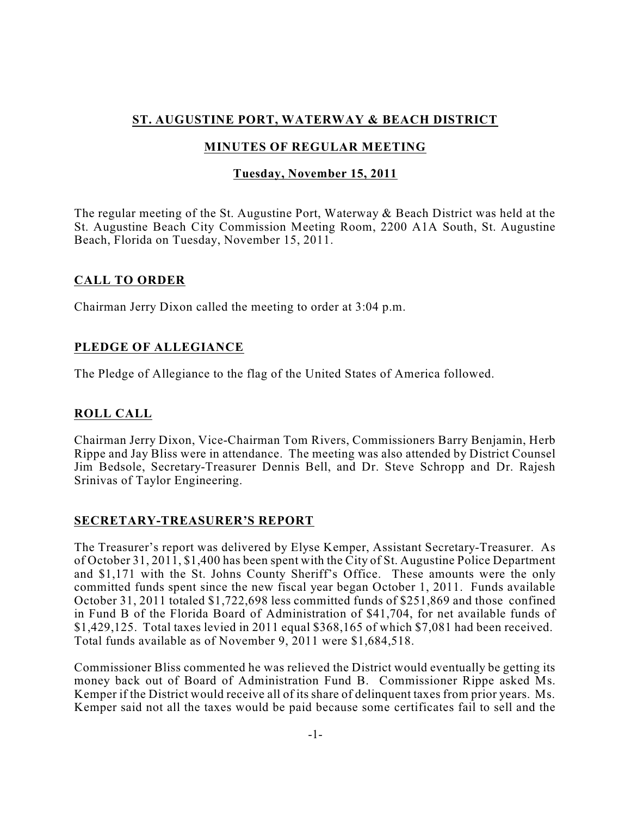# **ST. AUGUSTINE PORT, WATERWAY & BEACH DISTRICT**

# **MINUTES OF REGULAR MEETING**

# **Tuesday, November 15, 2011**

The regular meeting of the St. Augustine Port, Waterway & Beach District was held at the St. Augustine Beach City Commission Meeting Room, 2200 A1A South, St. Augustine Beach, Florida on Tuesday, November 15, 2011.

### **CALL TO ORDER**

Chairman Jerry Dixon called the meeting to order at 3:04 p.m.

# **PLEDGE OF ALLEGIANCE**

The Pledge of Allegiance to the flag of the United States of America followed.

# **ROLL CALL**

Chairman Jerry Dixon, Vice-Chairman Tom Rivers, Commissioners Barry Benjamin, Herb Rippe and Jay Bliss were in attendance. The meeting was also attended by District Counsel Jim Bedsole, Secretary-Treasurer Dennis Bell, and Dr. Steve Schropp and Dr. Rajesh Srinivas of Taylor Engineering.

### **SECRETARY-TREASURER'S REPORT**

The Treasurer's report was delivered by Elyse Kemper, Assistant Secretary-Treasurer. As of October 31, 2011, \$1,400 has been spent with the City of St. Augustine Police Department and \$1,171 with the St. Johns County Sheriff's Office. These amounts were the only committed funds spent since the new fiscal year began October 1, 2011. Funds available October 31, 2011 totaled \$1,722,698 less committed funds of \$251,869 and those confined in Fund B of the Florida Board of Administration of \$41,704, for net available funds of \$1,429,125. Total taxes levied in 2011 equal \$368,165 of which \$7,081 had been received. Total funds available as of November 9, 2011 were \$1,684,518.

Commissioner Bliss commented he was relieved the District would eventually be getting its money back out of Board of Administration Fund B. Commissioner Rippe asked Ms. Kemper if the District would receive all of its share of delinquent taxes from prior years. Ms. Kemper said not all the taxes would be paid because some certificates fail to sell and the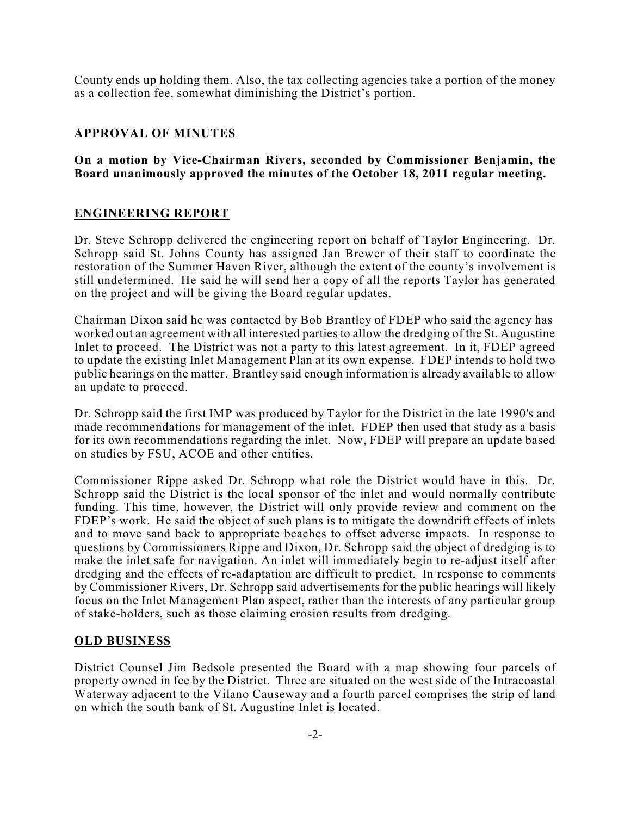County ends up holding them. Also, the tax collecting agencies take a portion of the money as a collection fee, somewhat diminishing the District's portion.

# **APPROVAL OF MINUTES**

### **On a motion by Vice-Chairman Rivers, seconded by Commissioner Benjamin, the Board unanimously approved the minutes of the October 18, 2011 regular meeting.**

### **ENGINEERING REPORT**

Dr. Steve Schropp delivered the engineering report on behalf of Taylor Engineering. Dr. Schropp said St. Johns County has assigned Jan Brewer of their staff to coordinate the restoration of the Summer Haven River, although the extent of the county's involvement is still undetermined. He said he will send her a copy of all the reports Taylor has generated on the project and will be giving the Board regular updates.

Chairman Dixon said he was contacted by Bob Brantley of FDEP who said the agency has worked out an agreement with all interested parties to allow the dredging of the St. Augustine Inlet to proceed. The District was not a party to this latest agreement. In it, FDEP agreed to update the existing Inlet Management Plan at its own expense. FDEP intends to hold two public hearings on the matter. Brantley said enough information is already available to allow an update to proceed.

Dr. Schropp said the first IMP was produced by Taylor for the District in the late 1990's and made recommendations for management of the inlet. FDEP then used that study as a basis for its own recommendations regarding the inlet. Now, FDEP will prepare an update based on studies by FSU, ACOE and other entities.

Commissioner Rippe asked Dr. Schropp what role the District would have in this. Dr. Schropp said the District is the local sponsor of the inlet and would normally contribute funding. This time, however, the District will only provide review and comment on the FDEP's work. He said the object of such plans is to mitigate the downdrift effects of inlets and to move sand back to appropriate beaches to offset adverse impacts. In response to questions by Commissioners Rippe and Dixon, Dr. Schropp said the object of dredging is to make the inlet safe for navigation. An inlet will immediately begin to re-adjust itself after dredging and the effects of re-adaptation are difficult to predict. In response to comments by Commissioner Rivers, Dr. Schropp said advertisements for the public hearings will likely focus on the Inlet Management Plan aspect, rather than the interests of any particular group of stake-holders, such as those claiming erosion results from dredging.

### **OLD BUSINESS**

District Counsel Jim Bedsole presented the Board with a map showing four parcels of property owned in fee by the District. Three are situated on the west side of the Intracoastal Waterway adjacent to the Vilano Causeway and a fourth parcel comprises the strip of land on which the south bank of St. Augustine Inlet is located.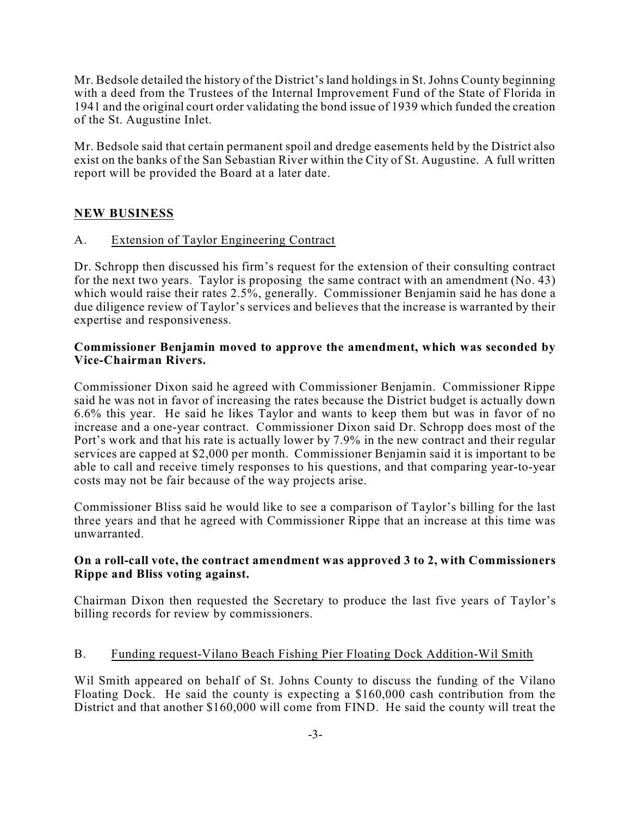Mr. Bedsole detailed the history of the District's land holdings in St. Johns County beginning with a deed from the Trustees of the Internal Improvement Fund of the State of Florida in 1941 and the original court order validating the bond issue of 1939 which funded the creation of the St. Augustine Inlet.

Mr. Bedsole said that certain permanent spoil and dredge easements held by the District also exist on the banks of the San Sebastian River within the City of St. Augustine. A full written report will be provided the Board at a later date.

### **NEW BUSINESS**

#### A. Extension of Taylor Engineering Contract

Dr. Schropp then discussed his firm's request for the extension of their consulting contract for the next two years. Taylor is proposing the same contract with an amendment  $(N_0, 43)$ which would raise their rates 2.5%, generally. Commissioner Benjamin said he has done a due diligence review of Taylor's services and believes that the increase is warranted by their expertise and responsiveness.

#### **Commissioner Benjamin moved to approve the amendment, which was seconded by Vice-Chairman Rivers.**

Commissioner Dixon said he agreed with Commissioner Benjamin. Commissioner Rippe said he was not in favor of increasing the rates because the District budget is actually down 6.6% this year. He said he likes Taylor and wants to keep them but was in favor of no increase and a one-year contract. Commissioner Dixon said Dr. Schropp does most of the Port's work and that his rate is actually lower by 7.9% in the new contract and their regular services are capped at \$2,000 per month. Commissioner Benjamin said it is important to be able to call and receive timely responses to his questions, and that comparing year-to-year costs may not be fair because of the way projects arise.

Commissioner Bliss said he would like to see a comparison of Taylor's billing for the last three years and that he agreed with Commissioner Rippe that an increase at this time was unwarranted.

#### **On a roll-call vote, the contract amendment was approved 3 to 2, with Commissioners Rippe and Bliss voting against.**

Chairman Dixon then requested the Secretary to produce the last five years of Taylor's billing records for review by commissioners.

#### B. Funding request-Vilano Beach Fishing Pier Floating Dock Addition-Wil Smith

Wil Smith appeared on behalf of St. Johns County to discuss the funding of the Vilano Floating Dock. He said the county is expecting a \$160,000 cash contribution from the District and that another \$160,000 will come from FIND. He said the county will treat the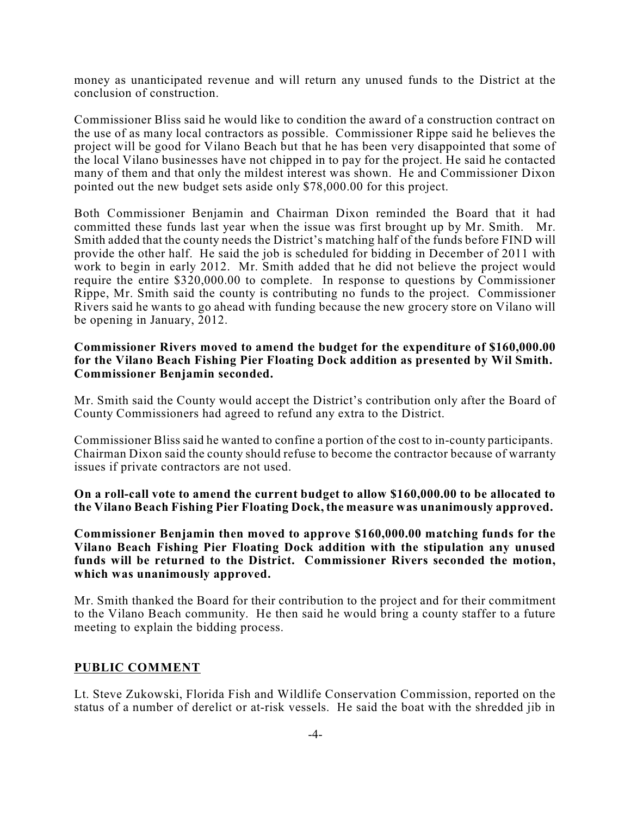money as unanticipated revenue and will return any unused funds to the District at the conclusion of construction.

Commissioner Bliss said he would like to condition the award of a construction contract on the use of as many local contractors as possible. Commissioner Rippe said he believes the project will be good for Vilano Beach but that he has been very disappointed that some of the local Vilano businesses have not chipped in to pay for the project. He said he contacted many of them and that only the mildest interest was shown. He and Commissioner Dixon pointed out the new budget sets aside only \$78,000.00 for this project.

Both Commissioner Benjamin and Chairman Dixon reminded the Board that it had committed these funds last year when the issue was first brought up by Mr. Smith. Mr. Smith added that the county needs the District's matching half of the funds before FIND will provide the other half. He said the job is scheduled for bidding in December of 2011 with work to begin in early 2012. Mr. Smith added that he did not believe the project would require the entire \$320,000.00 to complete. In response to questions by Commissioner Rippe, Mr. Smith said the county is contributing no funds to the project. Commissioner Rivers said he wants to go ahead with funding because the new grocery store on Vilano will be opening in January, 2012.

#### **Commissioner Rivers moved to amend the budget for the expenditure of \$160,000.00 for the Vilano Beach Fishing Pier Floating Dock addition as presented by Wil Smith. Commissioner Benjamin seconded.**

Mr. Smith said the County would accept the District's contribution only after the Board of County Commissioners had agreed to refund any extra to the District.

Commissioner Bliss said he wanted to confine a portion of the cost to in-county participants. Chairman Dixon said the county should refuse to become the contractor because of warranty issues if private contractors are not used.

**On a roll-call vote to amend the current budget to allow \$160,000.00 to be allocated to the Vilano Beach Fishing Pier Floating Dock, the measure was unanimously approved.**

**Commissioner Benjamin then moved to approve \$160,000.00 matching funds for the Vilano Beach Fishing Pier Floating Dock addition with the stipulation any unused funds will be returned to the District. Commissioner Rivers seconded the motion, which was unanimously approved.**

Mr. Smith thanked the Board for their contribution to the project and for their commitment to the Vilano Beach community. He then said he would bring a county staffer to a future meeting to explain the bidding process.

#### **PUBLIC COMMENT**

Lt. Steve Zukowski, Florida Fish and Wildlife Conservation Commission, reported on the status of a number of derelict or at-risk vessels. He said the boat with the shredded jib in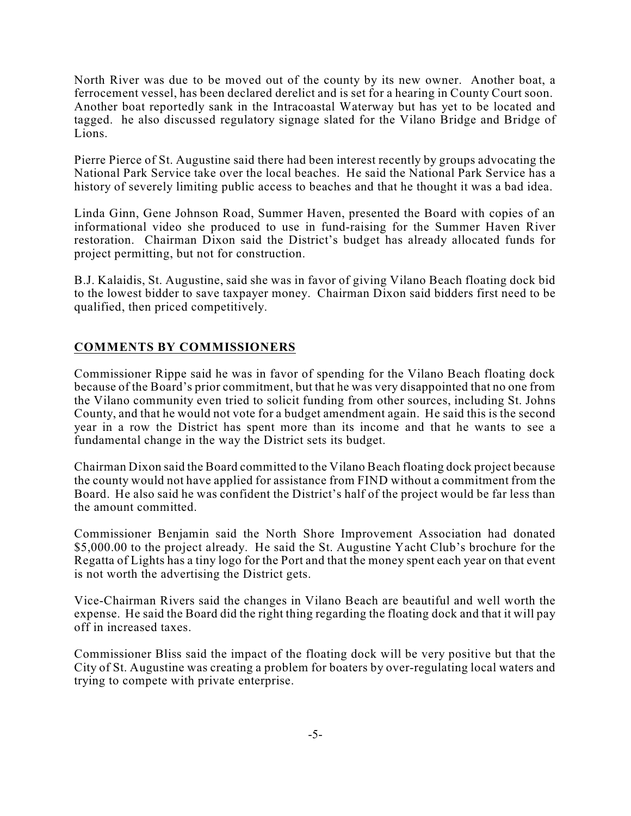North River was due to be moved out of the county by its new owner. Another boat, a ferrocement vessel, has been declared derelict and is set for a hearing in County Court soon. Another boat reportedly sank in the Intracoastal Waterway but has yet to be located and tagged. he also discussed regulatory signage slated for the Vilano Bridge and Bridge of Lions.

Pierre Pierce of St. Augustine said there had been interest recently by groups advocating the National Park Service take over the local beaches. He said the National Park Service has a history of severely limiting public access to beaches and that he thought it was a bad idea.

Linda Ginn, Gene Johnson Road, Summer Haven, presented the Board with copies of an informational video she produced to use in fund-raising for the Summer Haven River restoration. Chairman Dixon said the District's budget has already allocated funds for project permitting, but not for construction.

B.J. Kalaidis, St. Augustine, said she was in favor of giving Vilano Beach floating dock bid to the lowest bidder to save taxpayer money. Chairman Dixon said bidders first need to be qualified, then priced competitively.

# **COMMENTS BY COMMISSIONERS**

Commissioner Rippe said he was in favor of spending for the Vilano Beach floating dock because of the Board's prior commitment, but that he was very disappointed that no one from the Vilano community even tried to solicit funding from other sources, including St. Johns County, and that he would not vote for a budget amendment again. He said this is the second year in a row the District has spent more than its income and that he wants to see a fundamental change in the way the District sets its budget.

Chairman Dixon said the Board committed to the Vilano Beach floating dock project because the county would not have applied for assistance from FIND without a commitment from the Board. He also said he was confident the District's half of the project would be far less than the amount committed.

Commissioner Benjamin said the North Shore Improvement Association had donated \$5,000.00 to the project already. He said the St. Augustine Yacht Club's brochure for the Regatta of Lights has a tiny logo for the Port and that the money spent each year on that event is not worth the advertising the District gets.

Vice-Chairman Rivers said the changes in Vilano Beach are beautiful and well worth the expense. He said the Board did the right thing regarding the floating dock and that it will pay off in increased taxes.

Commissioner Bliss said the impact of the floating dock will be very positive but that the City of St. Augustine was creating a problem for boaters by over-regulating local waters and trying to compete with private enterprise.